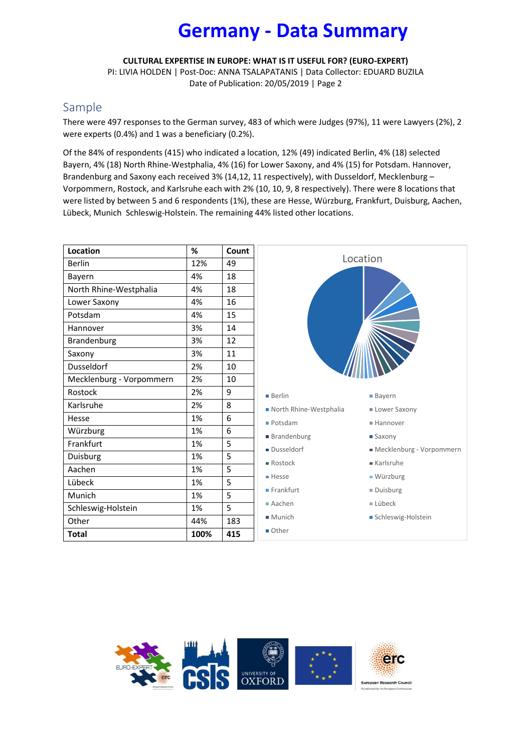# **Germany - Data Summary**

**CULTURAL EXPERTISE IN EUROPE: WHAT IS IT USEFUL FOR? (EURO-EXPERT)**

PI: LIVIA HOLDEN | Post-Doc: ANNA TSALAPATANIS | Data Collector: EDUARD BUZILA Date of Publication: 20/05/2019 | Page 2

# Sample

There were 497 responses to the German survey, 483 of which were Judges (97%), 11 were Lawyers (2%), 2 were experts (0.4%) and 1 was a beneficiary (0.2%).

Of the 84% of respondents (415) who indicated a location, 12% (49) indicated Berlin, 4% (18) selected Bayern, 4% (18) North Rhine-Westphalia, 4% (16) for Lower Saxony, and 4% (15) for Potsdam. Hannover, Brandenburg and Saxony each received 3% (14,12, 11 respectively), with Dusseldorf, Mecklenburg -Vorpommern, Rostock, and Karlsruhe each with 2% (10, 10, 9, 8 respectively). There were 8 locations that were listed by between 5 and 6 respondents (1%), these are Hesse, Würzburg, Frankfurt, Duisburg, Aachen, Lübeck, Munich Schleswig-Holstein. The remaining 44% listed other locations.

| <b>Location</b>          | %    | Count |                                               |
|--------------------------|------|-------|-----------------------------------------------|
| <b>Berlin</b>            | 12%  | 49    | Location                                      |
| Bayern                   | 4%   | 18    |                                               |
| North Rhine-Westphalia   | 4%   | 18    |                                               |
| Lower Saxony             | 4%   | 16    |                                               |
| Potsdam                  | 4%   | 15    |                                               |
| Hannover                 | 3%   | 14    |                                               |
| Brandenburg              | 3%   | 12    |                                               |
| Saxony                   | 3%   | 11    |                                               |
| <b>Dusseldorf</b>        | 2%   | 10    |                                               |
| Mecklenburg - Vorpommern | 2%   | 10    |                                               |
| Rostock                  | 2%   | 9     | <b>Berlin</b><br><b>Bayern</b>                |
| Karlsruhe                | 2%   | 8     | North Rhine-Westphalia<br><b>Lower Saxony</b> |
| Hesse                    | 1%   | 6     | Potsdam<br>■ Hannover                         |
| Würzburg                 | 1%   | 6     | ■ Brandenburg<br>Saxony                       |
| Frankfurt                | 1%   | 5     | Dusseldorf<br>Mecklenburg - Vorpommern        |
| Duisburg                 | 1%   | 5     | Rostock<br>Karlsruhe                          |
| Aachen                   | 1%   | 5     | ■ Würzburg<br>■ Hesse                         |
| Lübeck                   | 1%   | 5     |                                               |
| Munich                   | 1%   | 5     | $F$ Frankfurt<br>Duisburg                     |
| Schleswig-Holstein       | 1%   | 5     | Aachen<br>$\blacksquare$ Lübeck               |
| Other                    | 44%  | 183   | $M$ unich<br>Schleswig-Holstein               |
| <b>Total</b>             | 100% | 415   | ■ Other                                       |

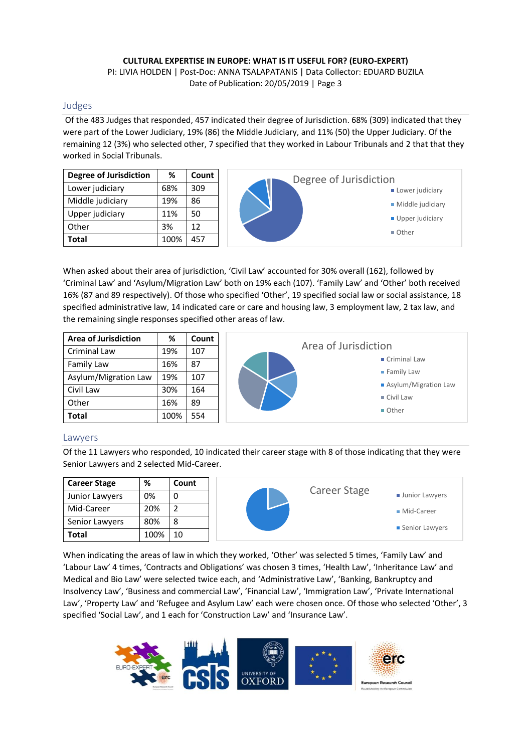### Judges

Of the 483 Judges that responded, 457 indicated their degree of Jurisdiction. 68% (309) indicated that they were part of the Lower Judiciary, 19% (86) the Middle Judiciary, and 11% (50) the Upper Judiciary. Of the remaining 12 (3%) who selected other, 7 specified that they worked in Labour Tribunals and 2 that that they worked in Social Tribunals.



When asked about their area of jurisdiction, 'Civil Law' accounted for 30% overall (162), followed by ͚Criminal Law͛ and ͚AƐLJlƵmͬMigration Law͛ boƚh on 19% each (107). ͚Family Law͛ and ͚Oƚheƌ͛ boƚh ƌeceiǀed 16% (87 and 89 respectively). Of those who specified 'Other', 19 specified social law or social assistance, 18 specified administrative law, 14 indicated care or care and housing law, 3 employment law, 2 tax law, and the remaining single responses specified other areas of law.

| <b>Area of Jurisdiction</b> | %    | Count |
|-----------------------------|------|-------|
| Criminal Law                | 19%  | 107   |
| Family Law                  | 16%  | 87    |
| Asylum/Migration Law        | 19%  | 107   |
| Civil Law                   | 30%  | 164   |
| Other                       | 16%  | 89    |
| <b>Total</b>                | 100% | 554   |



#### Lawyers

Of the 11 Lawyers who responded, 10 indicated their career stage with 8 of those indicating that they were Senior Lawyers and 2 selected Mid-Career.

| <b>Career Stage</b> | %    | Count |              |                       |
|---------------------|------|-------|--------------|-----------------------|
| Junior Lawyers      | 0%   | 0     | Career Stage | <b>Junior Lawyers</b> |
| Mid-Career          | 20%  |       |              | ■ Mid-Career          |
| Senior Lawyers      | 80%  | 8     |              | ■ Senior Lawyers      |
| <b>Total</b>        | 100% | 10    |              |                       |

When indicating the areas of law in which they worked, 'Other' was selected 5 times, 'Family Law' and 'Labour Law' 4 times, 'Contracts and Obligations' was chosen 3 times, 'Health Law', 'Inheritance Law' and Medical and Bio Law' were selected twice each, and 'Administrative Law', 'Banking, Bankruptcy and Insolvency Law', 'Business and commercial Law', 'Financial Law', 'Immigration Law', 'Private International Law', 'Property Law' and 'Refugee and Asylum Law' each were chosen once. Of those who selected 'Other', 3 specified 'Social Law', and 1 each for 'Construction Law' and 'Insurance Law'.

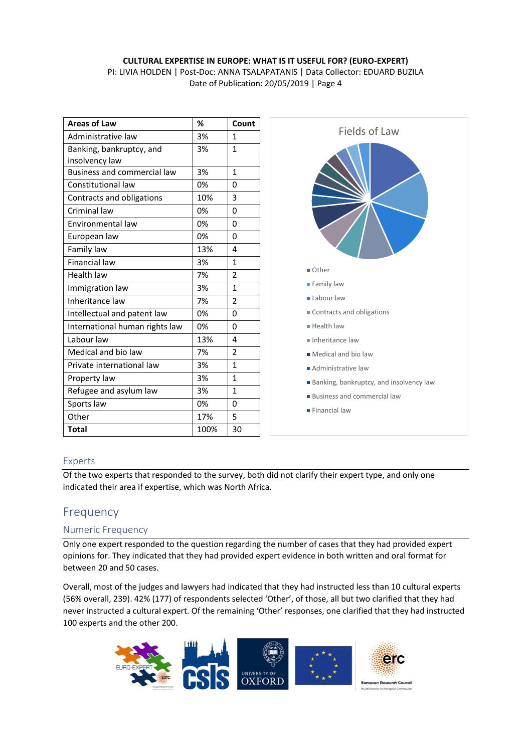### **CULTURAL EXPERTISE IN EUROPE: WHAT IS IT USEFUL FOR? (EURO-EXPERT)** PI: LIVIA HOLDEN | Post-Doc: ANNA TSALAPATANIS | Data Collector: EDUARD BUZILA

Date of Publication: 20/05/2019 | Page 4

| <b>Areas of Law</b>                | %    | Count          |
|------------------------------------|------|----------------|
| Administrative law                 | 3%   | 1              |
| Banking, bankruptcy, and           | 3%   | 1              |
| insolvency law                     |      |                |
| <b>Business and commercial law</b> | 3%   | 1              |
| Constitutional law                 | 0%   | 0              |
| Contracts and obligations          | 10%  | 3              |
| Criminal law                       | 0%   | 0              |
| Environmental law                  | 0%   | 0              |
| European law                       | 0%   | 0              |
| Family law                         | 13%  | 4              |
| <b>Financial law</b>               | 3%   | 1              |
| Health law                         | 7%   | $\overline{2}$ |
| Immigration law                    | 3%   | 1              |
| Inheritance law                    | 7%   | $\overline{2}$ |
| Intellectual and patent law        | 0%   | 0              |
| International human rights law     | 0%   | 0              |
| Labour law                         | 13%  | 4              |
| Medical and bio law                | 7%   | $\overline{2}$ |
| Private international law          | 3%   | 1              |
| Property law                       | 3%   | 1              |
| Refugee and asylum law             | 3%   | 1              |
| Sports law                         | 0%   | 0              |
| Other                              | 17%  | 5              |
| <b>Total</b>                       | 100% | 30             |



### Experts

Of the two experts that responded to the survey, both did not clarify their expert type, and only one indicated their area if expertise, which was North Africa.

# Frequency

### Numeric Frequency

Only one expert responded to the question regarding the number of cases that they had provided expert opinions for. They indicated that they had provided expert evidence in both written and oral format for between 20 and 50 cases.

Overall, most of the judges and lawyers had indicated that they had instructed less than 10 cultural experts (56% overall, 239). 42% (177) of respondents selected 'Other', of those, all but two clarified that they had never instructed a cultural expert. Of the remaining 'Other' responses, one clarified that they had instructed 100 experts and the other 200.

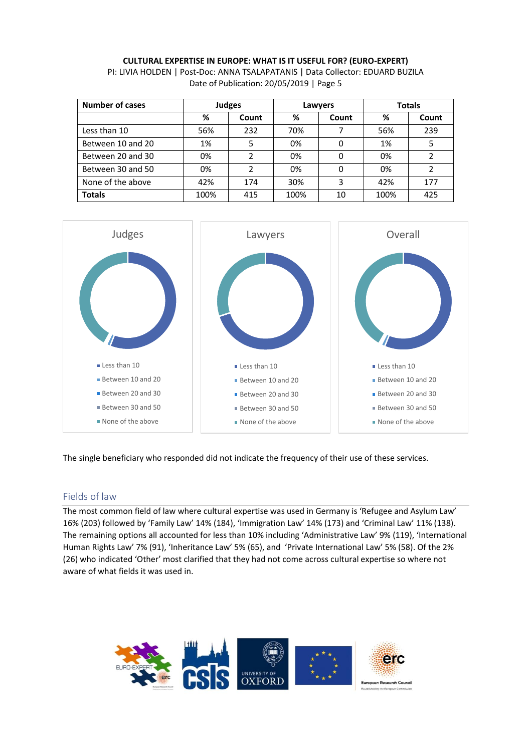| <b>Number of cases</b> | <b>Judges</b> |       | Lawyers |       | <b>Totals</b> |       |
|------------------------|---------------|-------|---------|-------|---------------|-------|
|                        | %             | Count | %       | Count | ℅             | Count |
| Less than 10           | 56%           | 232   | 70%     |       | 56%           | 239   |
| Between 10 and 20      | 1%            | 5     | 0%      | 0     | 1%            | 5     |
| Between 20 and 30      | 0%            |       | 0%      | 0     | 0%            |       |
| Between 30 and 50      | 0%            | າ     | 0%      | 0     | 0%            | 2     |
| None of the above      | 42%           | 174   | 30%     | 3     | 42%           | 177   |
| <b>Totals</b>          | 100%          | 415   | 100%    | 10    | 100%          | 425   |



The single beneficiary who responded did not indicate the frequency of their use of these services.

# Fields of law

The most common field of law where cultural expertise was used in Germany is 'Refugee and Asylum Law' 16% (203) followed by 'Family Law' 14% (184), 'Immigration Law' 14% (173) and 'Criminal Law' 11% (138). The remaining options all accounted for less than 10% including 'Administrative Law' 9% (119), 'International Human Rights Law' 7% (91), 'Inheritance Law' 5% (65), and 'Private International Law' 5% (58). Of the 2% (26) who indicated 'Other' most clarified that they had not come across cultural expertise so where not aware of what fields it was used in.

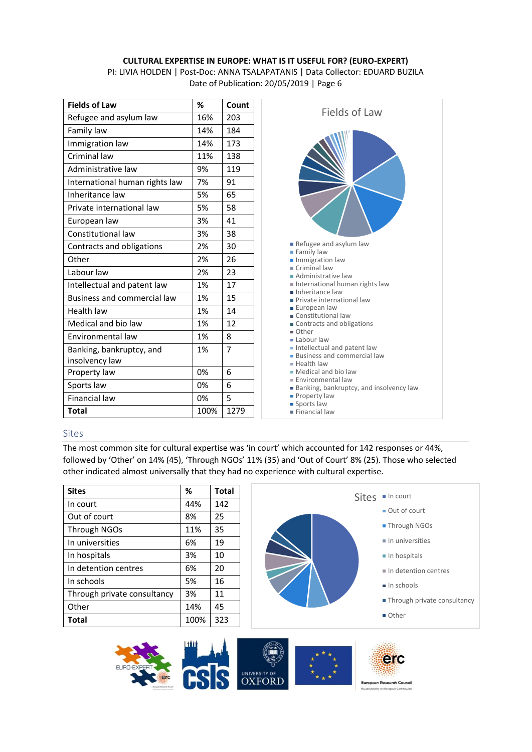PI: LIVIA HOLDEN | Post-Doc: ANNA TSALAPATANIS | Data Collector: EDUARD BUZILA Date of Publication: 20/05/2019 | Page 6

| <b>Fields of Law</b>               | %    | Count |
|------------------------------------|------|-------|
| Refugee and asylum law             | 16%  | 203   |
| Family law                         | 14%  | 184   |
| Immigration law                    | 14%  | 173   |
| Criminal law                       | 11%  | 138   |
| Administrative law                 | 9%   | 119   |
| International human rights law     | 7%   | 91    |
| Inheritance law                    | 5%   | 65    |
| Private international law          | 5%   | 58    |
| European law                       | 3%   | 41    |
| Constitutional law                 | 3%   | 38    |
| Contracts and obligations          | 2%   | 30    |
| Other                              | 2%   | 26    |
| Labour law                         | 2%   | 23    |
| Intellectual and patent law        | 1%   | 17    |
| <b>Business and commercial law</b> | 1%   | 15    |
| Health law                         | 1%   | 14    |
| Medical and bio law                | 1%   | 12    |
| Environmental law                  | 1%   | 8     |
| Banking, bankruptcy, and           | 1%   | 7     |
| insolvency law                     |      |       |
| Property law                       | 0%   | 6     |
| Sports law                         | 0%   | 6     |
| Financial law                      | 0%   | 5     |
| <b>Total</b>                       | 100% | 1279  |



**Financial law** 

#### Sites

The most common site for cultural expertise was 'in court' which accounted for 142 responses or 44%, followed by 'Other' on 14% (45), 'Through NGOs' 11% (35) and 'Out of Court' 8% (25). Those who selected other indicated almost universally that they had no experience with cultural expertise.

| <b>Sites</b>                | %    | <b>Total</b> |
|-----------------------------|------|--------------|
| In court                    | 44%  | 142          |
| Out of court                | 8%   | 25           |
| Through NGOs                | 11%  | 35           |
| In universities             | 6%   | 19           |
| In hospitals                | 3%   | 10           |
| In detention centres        | 6%   | 20           |
| In schools                  | 5%   | 16           |
| Through private consultancy | 3%   | 11           |
| Other                       | 14%  | 45           |
| <b>Total</b>                | 100% | 323          |

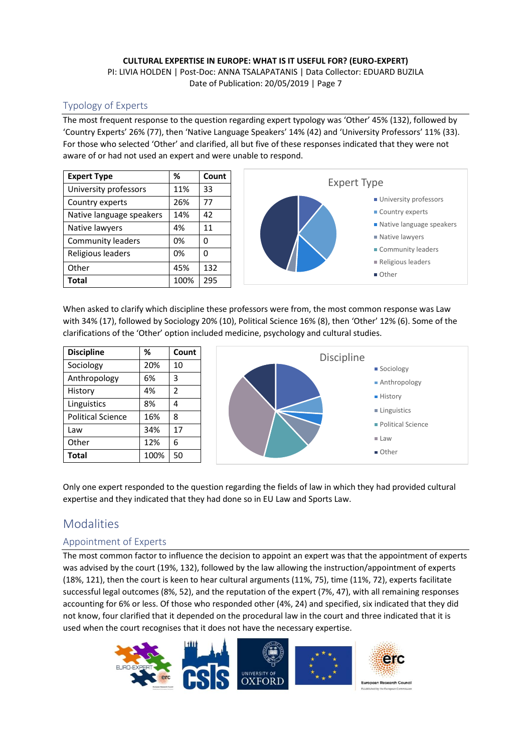# Typology of Experts

The most frequent response to the question regarding expert typology was 'Other' 45% (132), followed by 'Country Experts' 26% (77), then 'Native Language Speakers' 14% (42) and 'University Professors' 11% (33). For those who selected 'Other' and clarified, all but five of these responses indicated that they were not aware of or had not used an expert and were unable to respond.

| <b>Expert Type</b>       | ℅    | Count |
|--------------------------|------|-------|
| University professors    | 11%  | 33    |
| Country experts          | 26%  | 77    |
| Native language speakers | 14%  | 42    |
| Native lawyers           | 4%   | 11    |
| <b>Community leaders</b> | 0%   | ŋ     |
| Religious leaders        | 0%   | ŋ     |
| Other                    | 45%  | 132   |
| Total                    | 100% | 295   |



When asked to clarify which discipline these professors were from, the most common response was Law with 34% (17), followed by Sociology 20% (10), Political Science 16% (8), then 'Other' 12% (6). Some of the clarifications of the 'Other' option included medicine, psychology and cultural studies.

| <b>Discipline</b>        | %    | Count          |
|--------------------------|------|----------------|
| Sociology                | 20%  | 10             |
| Anthropology             | 6%   | 3              |
| History                  | 4%   | $\overline{2}$ |
| Linguistics              | 8%   | 4              |
| <b>Political Science</b> | 16%  | 8              |
| Law                      | 34%  | 17             |
| Other                    | 12%  | 6              |
| Total                    | 100% | 50             |



Only one expert responded to the question regarding the fields of law in which they had provided cultural expertise and they indicated that they had done so in EU Law and Sports Law.

# Modalities

# Appointment of Experts

The most common factor to influence the decision to appoint an expert was that the appointment of experts was advised by the court (19%, 132), followed by the law allowing the instruction/appointment of experts (18%, 121), then the court is keen to hear cultural arguments (11%, 75), time (11%, 72), experts facilitate successful legal outcomes (8%, 52), and the reputation of the expert (7%, 47), with all remaining responses accounting for 6% or less. Of those who responded other (4%, 24) and specified, six indicated that they did not know, four clarified that it depended on the procedural law in the court and three indicated that it is used when the court recognises that it does not have the necessary expertise.

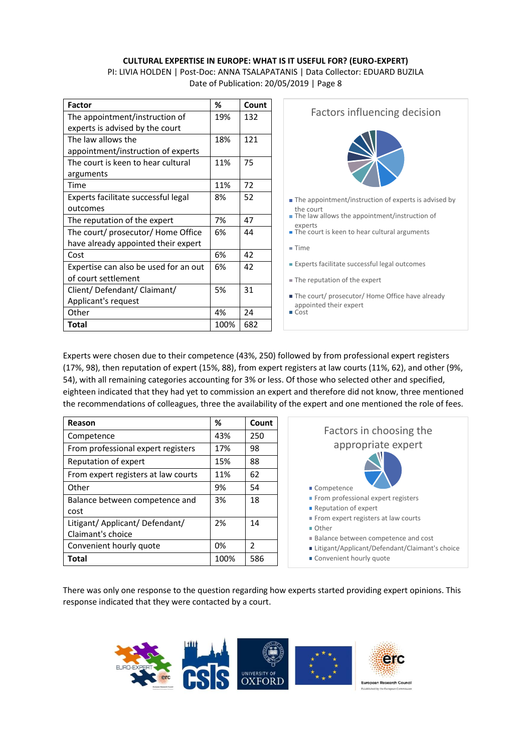PI: LIVIA HOLDEN | Post-Doc: ANNA TSALAPATANIS | Data Collector: EDUARD BUZILA Date of Publication: 20/05/2019 | Page 8

| <b>Factor</b>                         | ℅    | Count |
|---------------------------------------|------|-------|
| The appointment/instruction of        | 19%  | 132   |
| experts is advised by the court       |      |       |
| The law allows the                    | 18%  | 121   |
| appointment/instruction of experts    |      |       |
| The court is keen to hear cultural    | 11%  | 75    |
| arguments                             |      |       |
| Time                                  | 11%  | 72    |
| Experts facilitate successful legal   | 8%   | 52    |
| outcomes                              |      |       |
| The reputation of the expert          | 7%   | 47    |
| The court/ prosecutor/ Home Office    | 6%   | 44    |
| have already appointed their expert   |      |       |
| Cost                                  | 6%   | 42    |
| Expertise can also be used for an out | 6%   | 42    |
| of court settlement                   |      |       |
| Client/Defendant/Claimant/            | 5%   | 31    |
| Applicant's request                   |      |       |
| Other                                 | 4%   | 24    |
| Total                                 | 100% | 682   |



- The court/ prosecutor/ Home Office have already appointed their expert
- Cost

Experts were chosen due to their competence (43%, 250) followed by from professional expert registers (17%, 98), then reputation of expert (15%, 88), from expert registers at law courts (11%, 62), and other (9%, 54), with all remaining categories accounting for 3% or less. Of those who selected other and specified, eighteen indicated that they had yet to commission an expert and therefore did not know, three mentioned the recommendations of colleagues, three the availability of the expert and one mentioned the role of fees.

| Reason                                               | ℅    | Count         |
|------------------------------------------------------|------|---------------|
| Competence                                           | 43%  | 250           |
| From professional expert registers                   | 17%  | 98            |
| Reputation of expert                                 | 15%  | 88            |
| From expert registers at law courts                  | 11%  | 62            |
| Other                                                | 9%   | 54            |
| Balance between competence and                       | 3%   | 18            |
| cost                                                 |      |               |
| Litigant/ Applicant/ Defendant/<br>Claimant's choice | 2%   | 14            |
|                                                      |      |               |
| Convenient hourly quote                              | 0%   | $\mathcal{P}$ |
| Total                                                | 100% | 586           |

| Factors in choosing the<br>appropriate expert                                                                        |
|----------------------------------------------------------------------------------------------------------------------|
| ■ Competence                                                                                                         |
| From professional expert registers                                                                                   |
| <b>Reputation of expert</b>                                                                                          |
| From expert registers at law courts                                                                                  |
| $\blacksquare$ Other                                                                                                 |
| ■ Balance between competence and cost<br>■ Litigant/Applicant/Defendant/Claimant's choice<br>Convenient hourly quote |

There was only one response to the question regarding how experts started providing expert opinions. This response indicated that they were contacted by a court.

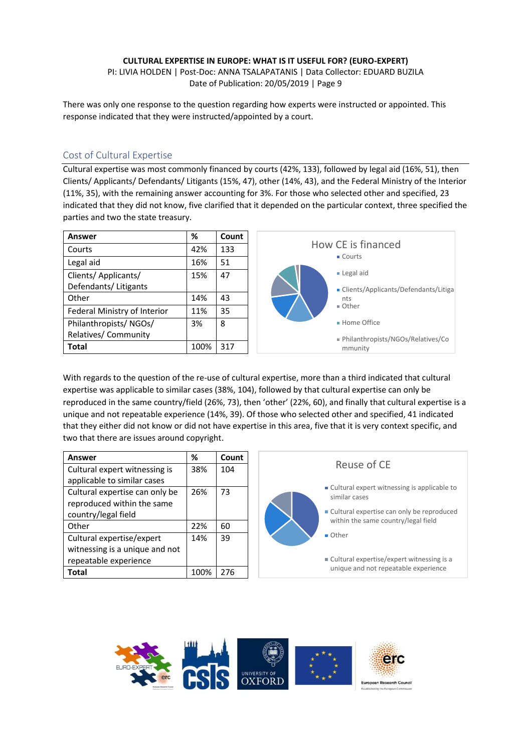PI: LIVIA HOLDEN | Post-Doc: ANNA TSALAPATANIS | Data Collector: EDUARD BUZILA Date of Publication: 20/05/2019 | Page 9

There was only one response to the question regarding how experts were instructed or appointed. This response indicated that they were instructed/appointed by a court.

### Cost of Cultural Expertise

Cultural expertise was most commonly financed by courts (42%, 133), followed by legal aid (16%, 51), then Clients/ Applicants/ Defendants/ Litigants (15%, 47), other (14%, 43), and the Federal Ministry of the Interior (11%, 35), with the remaining answer accounting for 3%. For those who selected other and specified, 23 indicated that they did not know, five clarified that it depended on the particular context, three specified the parties and two the state treasury.

| <b>Answer</b>                | %    | Count |
|------------------------------|------|-------|
| Courts                       | 42%  | 133   |
| Legal aid                    | 16%  | 51    |
| Clients/ Applicants/         | 15%  | 47    |
| Defendants/ Litigants        |      |       |
| Other                        | 14%  | 43    |
| Federal Ministry of Interior | 11%  | 35    |
| Philanthropists/NGOs/        | 3%   | 8     |
| Relatives/ Community         |      |       |
| <b>Total</b>                 | 100% | 317   |

With regards to the question of the re-use of cultural expertise, more than a third indicated that cultural expertise was applicable to similar cases (38%, 104), followed by that cultural expertise can only be reproduced in the same country/field (26%, 73), then 'other' (22%, 60), and finally that cultural expertise is a unique and not repeatable experience (14%, 39). Of those who selected other and specified, 41 indicated that they either did not know or did not have expertise in this area, five that it is very context specific, and two that there are issues around copyright.

| Answer                         | %    | Count | Reuse of CE                                                                        |  |
|--------------------------------|------|-------|------------------------------------------------------------------------------------|--|
| Cultural expert witnessing is  | 38%  | 104   |                                                                                    |  |
| applicable to similar cases    |      |       |                                                                                    |  |
| Cultural expertise can only be | 26%  | 73    | ■ Cultural expert witnessing is applicable to<br>similar cases                     |  |
| reproduced within the same     |      |       |                                                                                    |  |
| country/legal field            |      |       | • Cultural expertise can only be reproduced<br>within the same country/legal field |  |
| Other                          | 22%  | 60    |                                                                                    |  |
| Cultural expertise/expert      | 14%  | 39    | ■ Other                                                                            |  |
| witnessing is a unique and not |      |       |                                                                                    |  |
| repeatable experience          |      |       | ■ Cultural expertise/expert witnessing is a                                        |  |
| <b>Total</b>                   | 100% | 276   | unique and not repeatable experience                                               |  |

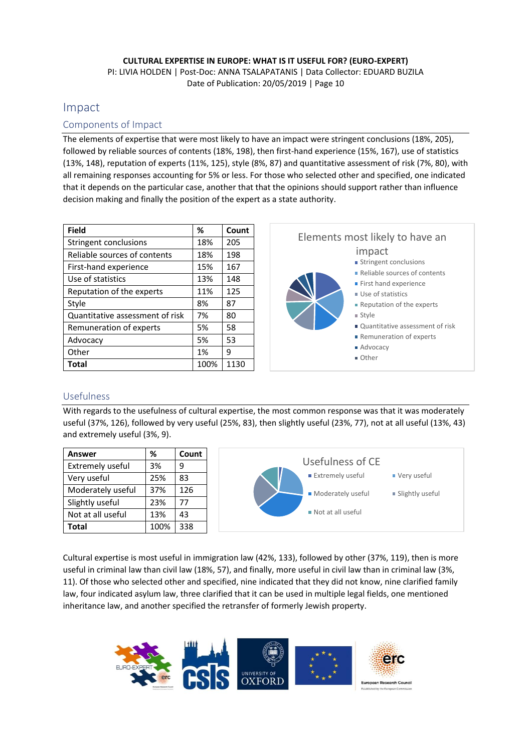# Impact

### Components of Impact

The elements of expertise that were most likely to have an impact were stringent conclusions (18%, 205), followed by reliable sources of contents (18%, 198), then first-hand experience (15%, 167), use of statistics (13%, 148), reputation of experts (11%, 125), style (8%, 87) and quantitative assessment of risk (7%, 80), with all remaining responses accounting for 5% or less. For those who selected other and specified, one indicated that it depends on the particular case, another that that the opinions should support rather than influence decision making and finally the position of the expert as a state authority.

| <b>Field</b>                    | ℅    | Count |
|---------------------------------|------|-------|
| Stringent conclusions           | 18%  | 205   |
| Reliable sources of contents    | 18%  | 198   |
| First-hand experience           | 15%  | 167   |
| Use of statistics               | 13%  | 148   |
| Reputation of the experts       | 11%  | 125   |
| Style                           | 8%   | 87    |
| Quantitative assessment of risk | 7%   | 80    |
| Remuneration of experts         | 5%   | 58    |
| Advocacy                        | 5%   | 53    |
| Other                           | 1%   | 9     |
| <b>Total</b>                    | 100% | 1130  |



### Usefulness

With regards to the usefulness of cultural expertise, the most common response was that it was moderately useful (37%, 126), followed by very useful (25%, 83), then slightly useful (23%, 77), not at all useful (13%, 43) and extremely useful (3%, 9).

| <b>Answer</b>           | %    | Count |
|-------------------------|------|-------|
| <b>Extremely useful</b> | 3%   | q     |
| Very useful             | 25%  | 83    |
| Moderately useful       | 37%  | 126   |
| Slightly useful         | 23%  | 77    |
| Not at all useful       | 13%  | 43    |
| <b>Total</b>            | 100% | 338   |



Cultural expertise is most useful in immigration law (42%, 133), followed by other (37%, 119), then is more useful in criminal law than civil law (18%, 57), and finally, more useful in civil law than in criminal law (3%, 11). Of those who selected other and specified, nine indicated that they did not know, nine clarified family law, four indicated asylum law, three clarified that it can be used in multiple legal fields, one mentioned inheritance law, and another specified the retransfer of formerly Jewish property.

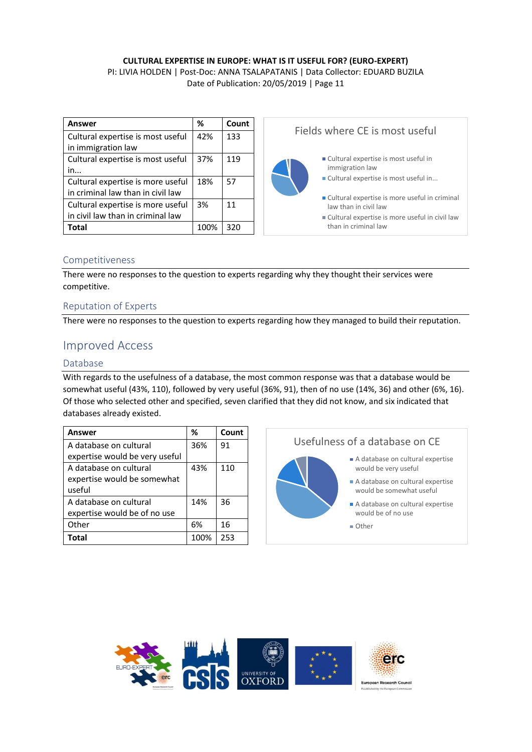#### **CULTURAL EXPERTISE IN EUROPE: WHAT IS IT USEFUL FOR? (EURO-EXPERT)** PI: LIVIA HOLDEN | Post-Doc: ANNA TSALAPATANIS | Data Collector: EDUARD BUZILA

Date of Publication: 20/05/2019 | Page 11

| Answer                            | %    | Count | Fields where CE is most useful                   |  |
|-----------------------------------|------|-------|--------------------------------------------------|--|
| Cultural expertise is most useful | 42%  | 133   |                                                  |  |
| in immigration law                |      |       |                                                  |  |
| Cultural expertise is most useful | 37%  | 119   | ■ Cultural expertise is most useful in           |  |
| in                                |      |       | immigration law                                  |  |
| Cultural expertise is more useful | 18%  | 57    | ■ Cultural expertise is most useful in           |  |
| in criminal law than in civil law |      |       | Cultural expertise is more useful in criminal    |  |
| Cultural expertise is more useful | 3%   | 11    | law than in civil law                            |  |
| in civil law than in criminal law |      |       | ■ Cultural expertise is more useful in civil law |  |
| <b>Total</b>                      | 100% | 320   | than in criminal law                             |  |

### Competitiveness

There were no responses to the question to experts regarding why they thought their services were competitive.

### Reputation of Experts

There were no responses to the question to experts regarding how they managed to build their reputation.

# Improved Access

### Database

With regards to the usefulness of a database, the most common response was that a database would be somewhat useful (43%, 110), followed by very useful (36%, 91), then of no use (14%, 36) and other (6%, 16). Of those who selected other and specified, seven clarified that they did not know, and six indicated that databases already existed.

| Answer                         | ℅    | Count |
|--------------------------------|------|-------|
| A database on cultural         | 36%  | 91    |
| expertise would be very useful |      |       |
| A database on cultural         | 43%  | 110   |
| expertise would be somewhat    |      |       |
| useful                         |      |       |
| A database on cultural         | 14%  | 36    |
| expertise would be of no use   |      |       |
| Other                          | 6%   | 16    |
| <b>Total</b>                   | 100% | 253   |

# Usefulness of a database on CE

- A database on cultural expertise would be very useful A database on cultural expertise
	- would be somewhat useful A database on cultural expertise would be of no use
	- Other